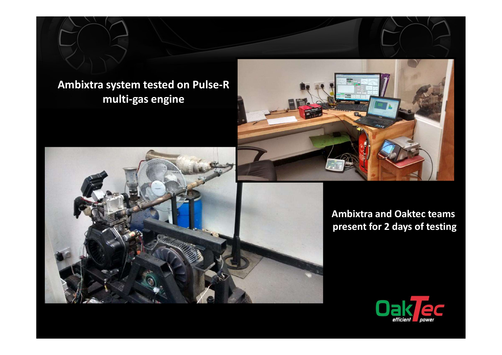

### Ambixtra system tested on Pulse-R multi-gas engine



present for 2 days of testing

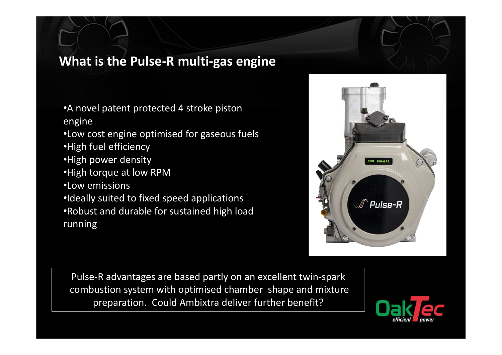# What is the Pulse-R multi-gas engine

- •A novel patent protected 4 stroke piston engine
- •Low cost engine optimised for gaseous fuels •High fuel efficiency
- •High power density
- •High torque at low RPM
- •Low emissions
- •Ideally suited to fixed speed applications
- •Robust and durable for sustained high load running



Pulse-R advantages are based partly on an excellent twin-spark combustion system with optimised chamber shape and mixture preparation. Could Ambixtra deliver further benefit?

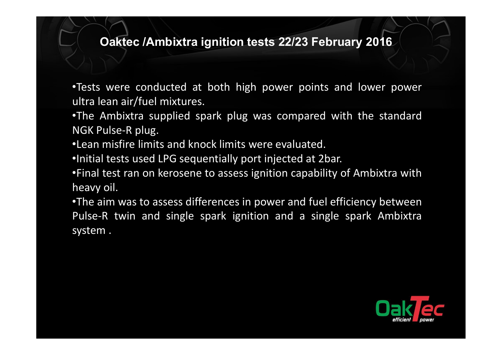### Oaktec /Ambixtra ignition tests 22/23 February 2016

**Caktec /Ambixtra ignition tests 22/23 February 2016**<br>•Tests were conducted at both high power points and lower power<br>•The Ambixtra supplied spark plug was compared with the standard<br>NGK Pulse-R plug.

Oaktec /Ambixtra ignition tests 22/23 Februar<br>•Tests were conducted at both high power points and<br>ultra lean air/fuel mixtures.<br>•The Ambixtra supplied spark plug was compared with<br>NGK Pulse-R plug.<br>•Lean misfire limits and Oaktec /Ambixtra ignition tests 22/23 February 2016<br>•Tests were conducted at both high power points and lower power<br>ultra lean air/fuel mixtures.<br>•The Ambixtra supplied spark plug was compared with the standard<br>NGK Pulse-R Oaktec /Ambixtra ignition tests 22/23 Feb<br>
Tests were conducted at both high power points<br>
ultra lean air/fuel mixtures.<br>
The Ambixtra supplied spark plug was compared<br>
NGK Pulse-R plug.<br>
Lean misfire limits and knock limi **COAKtec /Ambixtra ignition tests 22/23 February 2016**<br>•Tests were conducted at both high power points and lower power<br>ultra lean air/fuel mixtures.<br>•The Ambixtra supplied spark plug was compared with the standard<br>NGK Puls **COAKEC /Ambixtra ignition tests 22/23 February 2016**<br>•Tests were conducted at both high power points and lower power<br>•The Ambixtra supplied spark plug was compared with the standard<br>NGK Pulse-R plug.<br>•Lean misfire limits **COAKEC /Ambixtra ignition tests 22/23 February 2016**<br>•Tests were conducted at both high power points and lower power<br>ultra lean air/fuel mixtures.<br>•The Ambixtra supplied spark plug was compared with the standard<br>NGK Pulse

**Caktec /Ambixtra ignition tests 22/2**<br>
•Tests were conducted at both high power<br>
ultra lean air/fuel mixtures.<br>
•The Ambixtra supplied spark plug was com<br>
NGK Pulse-R plug.<br>
•Lean misfire limits and knock limits were eval •Tests were conducted at both high power points and lower power<br>
•Iltra lean air/fuel mixtures.<br>
•The Ambixtra supplied spark plug was compared with the standard<br>
NGK Pulse-R plug.<br>
•Lean misfire limits and knock limits we Fests were conducted at both high power points and lower power<br>ultra lean air/fuel mixtures.<br>Fhe Ambixtra supplied spark plug was compared with the standard<br>NGK Pulse-R plug.<br>-Lean misfire limits and knock limits were eval The state were conducted at both high power pultra lean air/fuel mixtures.<br>
The Ambixtra supplied spark plug was comp<br>
NGK Pulse-R plug.<br>
"Lean misfire limits and knock limits were evalua<br>
"Initial tests used LPG sequentia